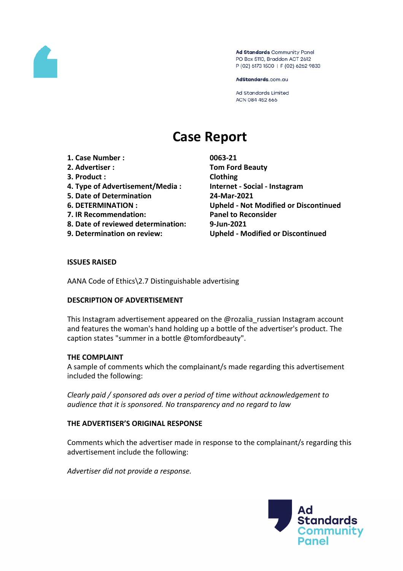

Ad Standards Community Panel PO Box 5110, Braddon ACT 2612 P (02) 6173 1500 | F (02) 6262 9833

AdStandards.com.au

**Ad Standards Limited** ACN 084 452 666

# **Case Report**

- **1. Case Number : 0063-21**
- 
- **3. Product : Clothing**
- **4. Type of Advertisement/Media : Internet - Social - Instagram**
- **5. Date of Determination 24-Mar-2021**
- 
- **7. IR Recommendation: Panel to Reconsider**
- **8. Date of reviewed determination: 9-Jun-2021**
- 

**2. Advertiser : Tom Ford Beauty 6. DETERMINATION : Upheld - Not Modified or Discontinued 9. Determination on review: Upheld - Modified or Discontinued**

#### **ISSUES RAISED**

AANA Code of Ethics\2.7 Distinguishable advertising

#### **DESCRIPTION OF ADVERTISEMENT**

This Instagram advertisement appeared on the @rozalia\_russian Instagram account and features the woman's hand holding up a bottle of the advertiser's product. The caption states "summer in a bottle @tomfordbeauty".

#### **THE COMPLAINT**

A sample of comments which the complainant/s made regarding this advertisement included the following:

*Clearly paid / sponsored ads over a period of time without acknowledgement to audience that it is sponsored. No transparency and no regard to law*

#### **THE ADVERTISER'S ORIGINAL RESPONSE**

Comments which the advertiser made in response to the complainant/s regarding this advertisement include the following:

*Advertiser did not provide a response.*

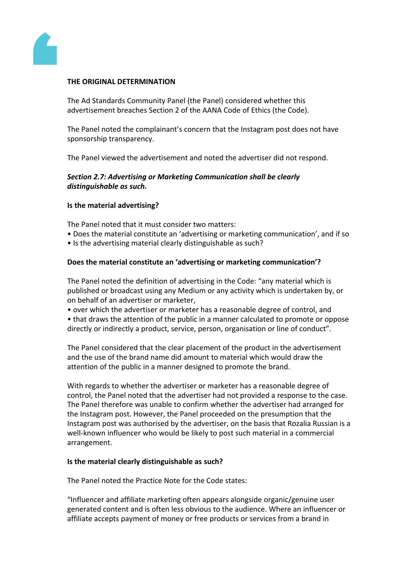

#### **THE ORIGINAL DETERMINATION**

The Ad Standards Community Panel (the Panel) considered whether this advertisement breaches Section 2 of the AANA Code of Ethics (the Code).

The Panel noted the complainant's concern that the Instagram post does not have sponsorship transparency.

The Panel viewed the advertisement and noted the advertiser did not respond.

#### *Section 2.7: Advertising or Marketing Communication shall be clearly distinguishable as such.*

#### **Is the material advertising?**

The Panel noted that it must consider two matters:

- Does the material constitute an 'advertising or marketing communication', and if so
- Is the advertising material clearly distinguishable as such?

#### **Does the material constitute an 'advertising or marketing communication'?**

The Panel noted the definition of advertising in the Code: "any material which is published or broadcast using any Medium or any activity which is undertaken by, or on behalf of an advertiser or marketer,

• over which the advertiser or marketer has a reasonable degree of control, and

• that draws the attention of the public in a manner calculated to promote or oppose directly or indirectly a product, service, person, organisation or line of conduct".

The Panel considered that the clear placement of the product in the advertisement and the use of the brand name did amount to material which would draw the attention of the public in a manner designed to promote the brand.

With regards to whether the advertiser or marketer has a reasonable degree of control, the Panel noted that the advertiser had not provided a response to the case. The Panel therefore was unable to confirm whether the advertiser had arranged for the Instagram post. However, the Panel proceeded on the presumption that the Instagram post was authorised by the advertiser, on the basis that Rozalia Russian is a well-known influencer who would be likely to post such material in a commercial arrangement.

#### **Is the material clearly distinguishable as such?**

The Panel noted the Practice Note for the Code states:

"Influencer and affiliate marketing often appears alongside organic/genuine user generated content and is often less obvious to the audience. Where an influencer or affiliate accepts payment of money or free products or services from a brand in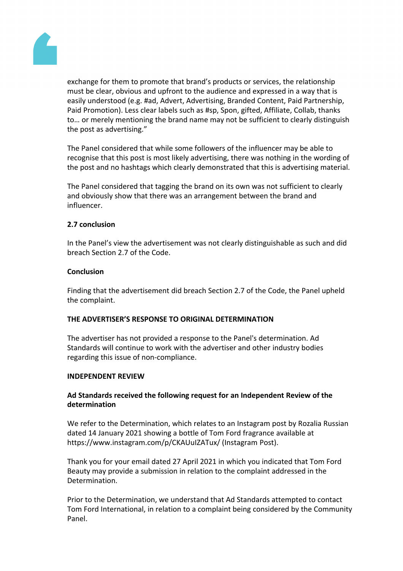

exchange for them to promote that brand's products or services, the relationship must be clear, obvious and upfront to the audience and expressed in a way that is easily understood (e.g. #ad, Advert, Advertising, Branded Content, Paid Partnership, Paid Promotion). Less clear labels such as #sp, Spon, gifted, Affiliate, Collab, thanks to… or merely mentioning the brand name may not be sufficient to clearly distinguish the post as advertising."

The Panel considered that while some followers of the influencer may be able to recognise that this post is most likely advertising, there was nothing in the wording of the post and no hashtags which clearly demonstrated that this is advertising material.

The Panel considered that tagging the brand on its own was not sufficient to clearly and obviously show that there was an arrangement between the brand and influencer.

## **2.7 conclusion**

In the Panel's view the advertisement was not clearly distinguishable as such and did breach Section 2.7 of the Code.

#### **Conclusion**

Finding that the advertisement did breach Section 2.7 of the Code, the Panel upheld the complaint.

#### **THE ADVERTISER'S RESPONSE TO ORIGINAL DETERMINATION**

The advertiser has not provided a response to the Panel's determination. Ad Standards will continue to work with the advertiser and other industry bodies regarding this issue of non-compliance.

#### **INDEPENDENT REVIEW**

## **Ad Standards received the following request for an Independent Review of the determination**

We refer to the Determination, which relates to an Instagram post by Rozalia Russian dated 14 January 2021 showing a bottle of Tom Ford fragrance available at https://www.instagram.com/p/CKAUuIZATux/ (Instagram Post).

Thank you for your email dated 27 April 2021 in which you indicated that Tom Ford Beauty may provide a submission in relation to the complaint addressed in the Determination.

Prior to the Determination, we understand that Ad Standards attempted to contact Tom Ford International, in relation to a complaint being considered by the Community Panel.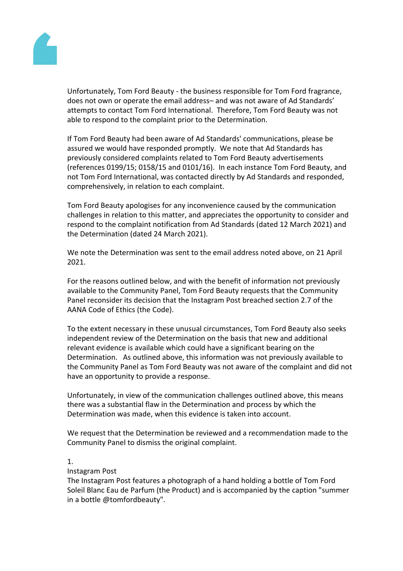

Unfortunately, Tom Ford Beauty - the business responsible for Tom Ford fragrance, does not own or operate the email address– and was not aware of Ad Standards' attempts to contact Tom Ford International. Therefore, Tom Ford Beauty was not able to respond to the complaint prior to the Determination.

If Tom Ford Beauty had been aware of Ad Standards' communications, please be assured we would have responded promptly. We note that Ad Standards has previously considered complaints related to Tom Ford Beauty advertisements (references 0199/15; 0158/15 and 0101/16). In each instance Tom Ford Beauty, and not Tom Ford International, was contacted directly by Ad Standards and responded, comprehensively, in relation to each complaint.

Tom Ford Beauty apologises for any inconvenience caused by the communication challenges in relation to this matter, and appreciates the opportunity to consider and respond to the complaint notification from Ad Standards (dated 12 March 2021) and the Determination (dated 24 March 2021).

We note the Determination was sent to the email address noted above, on 21 April 2021.

For the reasons outlined below, and with the benefit of information not previously available to the Community Panel, Tom Ford Beauty requests that the Community Panel reconsider its decision that the Instagram Post breached section 2.7 of the AANA Code of Ethics (the Code).

To the extent necessary in these unusual circumstances, Tom Ford Beauty also seeks independent review of the Determination on the basis that new and additional relevant evidence is available which could have a significant bearing on the Determination. As outlined above, this information was not previously available to the Community Panel as Tom Ford Beauty was not aware of the complaint and did not have an opportunity to provide a response.

Unfortunately, in view of the communication challenges outlined above, this means there was a substantial flaw in the Determination and process by which the Determination was made, when this evidence is taken into account.

We request that the Determination be reviewed and a recommendation made to the Community Panel to dismiss the original complaint.

#### 1.

#### Instagram Post

The Instagram Post features a photograph of a hand holding a bottle of Tom Ford Soleil Blanc Eau de Parfum (the Product) and is accompanied by the caption "summer in a bottle @tomfordbeauty".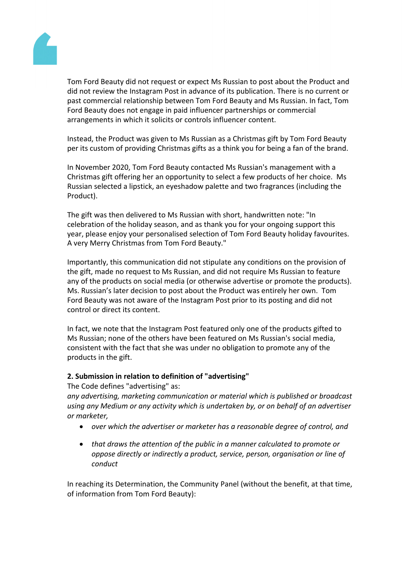

Tom Ford Beauty did not request or expect Ms Russian to post about the Product and did not review the Instagram Post in advance of its publication. There is no current or past commercial relationship between Tom Ford Beauty and Ms Russian. In fact, Tom Ford Beauty does not engage in paid influencer partnerships or commercial arrangements in which it solicits or controls influencer content.

Instead, the Product was given to Ms Russian as a Christmas gift by Tom Ford Beauty per its custom of providing Christmas gifts as a think you for being a fan of the brand.

In November 2020, Tom Ford Beauty contacted Ms Russian's management with a Christmas gift offering her an opportunity to select a few products of her choice. Ms Russian selected a lipstick, an eyeshadow palette and two fragrances (including the Product).

The gift was then delivered to Ms Russian with short, handwritten note: "In celebration of the holiday season, and as thank you for your ongoing support this year, please enjoy your personalised selection of Tom Ford Beauty holiday favourites. A very Merry Christmas from Tom Ford Beauty."

Importantly, this communication did not stipulate any conditions on the provision of the gift, made no request to Ms Russian, and did not require Ms Russian to feature any of the products on social media (or otherwise advertise or promote the products). Ms. Russian's later decision to post about the Product was entirely her own. Tom Ford Beauty was not aware of the Instagram Post prior to its posting and did not control or direct its content.

In fact, we note that the Instagram Post featured only one of the products gifted to Ms Russian; none of the others have been featured on Ms Russian's social media, consistent with the fact that she was under no obligation to promote any of the products in the gift.

#### **2. Submission in relation to definition of "advertising"**

The Code defines "advertising" as:

*any advertising, marketing communication or material which is published or broadcast using any Medium or any activity which is undertaken by, or on behalf of an advertiser or marketer,*

- *over which the advertiser or marketer has a reasonable degree of control, and*
- *that draws the attention of the public in a manner calculated to promote or oppose directly or indirectly a product, service, person, organisation or line of conduct*

In reaching its Determination, the Community Panel (without the benefit, at that time, of information from Tom Ford Beauty):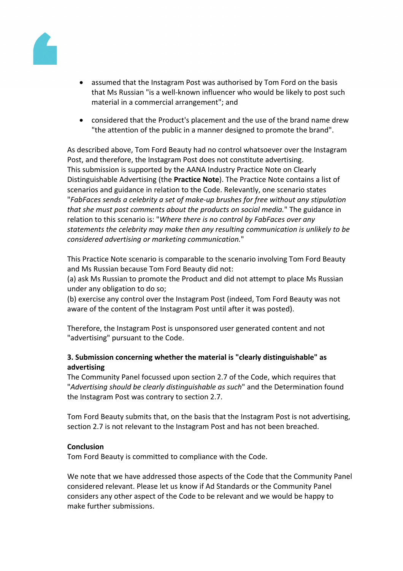

- assumed that the Instagram Post was authorised by Tom Ford on the basis that Ms Russian "is a well-known influencer who would be likely to post such material in a commercial arrangement"; and
- considered that the Product's placement and the use of the brand name drew "the attention of the public in a manner designed to promote the brand".

As described above, Tom Ford Beauty had no control whatsoever over the Instagram Post, and therefore, the Instagram Post does not constitute advertising. This submission is supported by the AANA Industry Practice Note on Clearly Distinguishable Advertising (the **Practice Note**). The Practice Note contains a list of scenarios and guidance in relation to the Code. Relevantly, one scenario states "*FabFaces sends a celebrity a set of make-up brushes for free without any stipulation that she must post comments about the products on social media.*" The guidance in relation to this scenario is: "*Where there is no control by FabFaces over any statements the celebrity may make then any resulting communication is unlikely to be considered advertising or marketing communication.*"

This Practice Note scenario is comparable to the scenario involving Tom Ford Beauty and Ms Russian because Tom Ford Beauty did not:

(a) ask Ms Russian to promote the Product and did not attempt to place Ms Russian under any obligation to do so;

(b) exercise any control over the Instagram Post (indeed, Tom Ford Beauty was not aware of the content of the Instagram Post until after it was posted).

Therefore, the Instagram Post is unsponsored user generated content and not "advertising" pursuant to the Code.

# **3. Submission concerning whether the material is "clearly distinguishable" as advertising**

The Community Panel focussed upon section 2.7 of the Code, which requires that "*Advertising should be clearly distinguishable as such*" and the Determination found the Instagram Post was contrary to section 2.7.

Tom Ford Beauty submits that, on the basis that the Instagram Post is not advertising, section 2.7 is not relevant to the Instagram Post and has not been breached.

# **Conclusion**

Tom Ford Beauty is committed to compliance with the Code.

We note that we have addressed those aspects of the Code that the Community Panel considered relevant. Please let us know if Ad Standards or the Community Panel considers any other aspect of the Code to be relevant and we would be happy to make further submissions.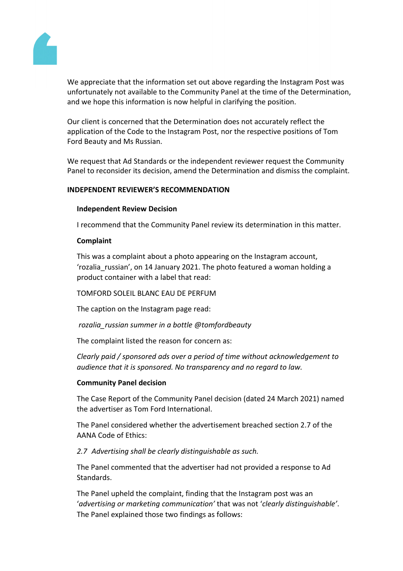

We appreciate that the information set out above regarding the Instagram Post was unfortunately not available to the Community Panel at the time of the Determination, and we hope this information is now helpful in clarifying the position.

Our client is concerned that the Determination does not accurately reflect the application of the Code to the Instagram Post, nor the respective positions of Tom Ford Beauty and Ms Russian.

We request that Ad Standards or the independent reviewer request the Community Panel to reconsider its decision, amend the Determination and dismiss the complaint.

#### **INDEPENDENT REVIEWER'S RECOMMENDATION**

#### **Independent Review Decision**

I recommend that the Community Panel review its determination in this matter.

## **Complaint**

This was a complaint about a photo appearing on the Instagram account, 'rozalia russian', on 14 January 2021. The photo featured a woman holding a product container with a label that read:

# TOMFORD SOLEIL BLANC EAU DE PERFUM

The caption on the Instagram page read:

*rozalia\_russian summer in a bottle @tomfordbeauty*

The complaint listed the reason for concern as:

*Clearly paid / sponsored ads over a period of time without acknowledgement to audience that it is sponsored. No transparency and no regard to law.*

#### **Community Panel decision**

The Case Report of the Community Panel decision (dated 24 March 2021) named the advertiser as Tom Ford International.

The Panel considered whether the advertisement breached section 2.7 of the AANA Code of Ethics:

# *2.7 Advertising shall be clearly distinguishable as such.*

The Panel commented that the advertiser had not provided a response to Ad Standards.

The Panel upheld the complaint, finding that the Instagram post was an '*advertising or marketing communication'* that was not '*clearly distinguishable'*. The Panel explained those two findings as follows: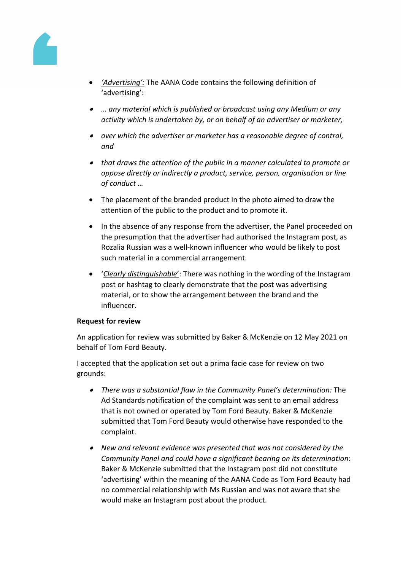

- *'Advertising':* The AANA Code contains the following definition of 'advertising':
- *… any material which is published or broadcast using any Medium or any activity which is undertaken by, or on behalf of an advertiser or marketer,*
- *over which the advertiser or marketer has a reasonable degree of control, and*
- *that draws the attention of the public in a manner calculated to promote or oppose directly or indirectly a product, service, person, organisation or line of conduct …*
- The placement of the branded product in the photo aimed to draw the attention of the public to the product and to promote it.
- In the absence of any response from the advertiser, the Panel proceeded on the presumption that the advertiser had authorised the Instagram post, as Rozalia Russian was a well-known influencer who would be likely to post such material in a commercial arrangement.
- '*Clearly distinguishable*': There was nothing in the wording of the Instagram post or hashtag to clearly demonstrate that the post was advertising material, or to show the arrangement between the brand and the influencer.

# **Request for review**

An application for review was submitted by Baker & McKenzie on 12 May 2021 on behalf of Tom Ford Beauty.

I accepted that the application set out a prima facie case for review on two grounds:

- *There was a substantial flaw in the Community Panel's determination:* The Ad Standards notification of the complaint was sent to an email address that is not owned or operated by Tom Ford Beauty. Baker & McKenzie submitted that Tom Ford Beauty would otherwise have responded to the complaint.
- *New and relevant evidence was presented that was not considered by the Community Panel and could have a significant bearing on its determination*: Baker & McKenzie submitted that the Instagram post did not constitute 'advertising' within the meaning of the AANA Code as Tom Ford Beauty had no commercial relationship with Ms Russian and was not aware that she would make an Instagram post about the product.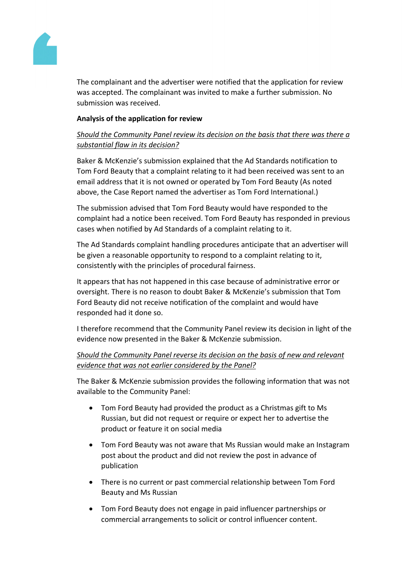

The complainant and the advertiser were notified that the application for review was accepted. The complainant was invited to make a further submission. No submission was received.

## **Analysis of the application for review**

# *Should the Community Panel review its decision on the basis that there was there a substantial flaw in its decision?*

Baker & McKenzie's submission explained that the Ad Standards notification to Tom Ford Beauty that a complaint relating to it had been received was sent to an email address that it is not owned or operated by Tom Ford Beauty (As noted above, the Case Report named the advertiser as Tom Ford International.)

The submission advised that Tom Ford Beauty would have responded to the complaint had a notice been received. Tom Ford Beauty has responded in previous cases when notified by Ad Standards of a complaint relating to it.

The Ad Standards complaint handling procedures anticipate that an advertiser will be given a reasonable opportunity to respond to a complaint relating to it, consistently with the principles of procedural fairness.

It appears that has not happened in this case because of administrative error or oversight. There is no reason to doubt Baker & McKenzie's submission that Tom Ford Beauty did not receive notification of the complaint and would have responded had it done so.

I therefore recommend that the Community Panel review its decision in light of the evidence now presented in the Baker & McKenzie submission.

# *Should the Community Panel reverse its decision on the basis of new and relevant evidence that was not earlier considered by the Panel?*

The Baker & McKenzie submission provides the following information that was not available to the Community Panel:

- Tom Ford Beauty had provided the product as a Christmas gift to Ms Russian, but did not request or require or expect her to advertise the product or feature it on social media
- Tom Ford Beauty was not aware that Ms Russian would make an Instagram post about the product and did not review the post in advance of publication
- There is no current or past commercial relationship between Tom Ford Beauty and Ms Russian
- Tom Ford Beauty does not engage in paid influencer partnerships or commercial arrangements to solicit or control influencer content.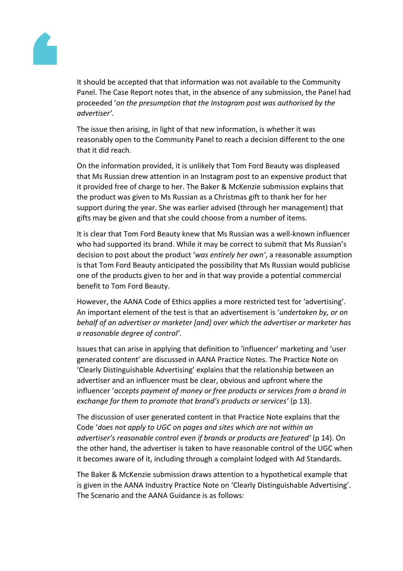

It should be accepted that that information was not available to the Community Panel. The Case Report notes that, in the absence of any submission, the Panel had proceeded '*on the presumption that the Instagram post was authorised by the advertiser'.*

The issue then arising, in light of that new information, is whether it was reasonably open to the Community Panel to reach a decision different to the one that it did reach.

On the information provided, it is unlikely that Tom Ford Beauty was displeased that Ms Russian drew attention in an Instagram post to an expensive product that it provided free of charge to her. The Baker & McKenzie submission explains that the product was given to Ms Russian as a Christmas gift to thank her for her support during the year. She was earlier advised (through her management) that gifts may be given and that she could choose from a number of items.

It is clear that Tom Ford Beauty knew that Ms Russian was a well-known influencer who had supported its brand. While it may be correct to submit that Ms Russian's decision to post about the product '*was entirely her own'*, a reasonable assumption is that Tom Ford Beauty anticipated the possibility that Ms Russian would publicise one of the products given to her and in that way provide a potential commercial benefit to Tom Ford Beauty.

However, the AANA Code of Ethics applies a more restricted test for 'advertising'. An important element of the test is that an advertisement is '*undertaken by, or on behalf of an advertiser or marketer [and] over which the advertiser or marketer has a reasonable degree of control'*.

Issues that can arise in applying that definition to 'influencer' marketing and 'user generated content' are discussed in AANA Practice Notes. The Practice Note on 'Clearly Distinguishable Advertising' explains that the relationship between an advertiser and an influencer must be clear, obvious and upfront where the influencer '*accepts payment of money or free products or services from a brand in exchange for them to promote that brand's products or services'* (p 13).

The discussion of user generated content in that Practice Note explains that the Code '*does not apply to UGC on pages and sites which are not within an advertiser's reasonable control even if brands or products are featured'* (p 14). On the other hand, the advertiser is taken to have reasonable control of the UGC when it becomes aware of it, including through a complaint lodged with Ad Standards.

The Baker & McKenzie submission draws attention to a hypothetical example that is given in the AANA Industry Practice Note on 'Clearly Distinguishable Advertising'. The Scenario and the AANA Guidance is as follows: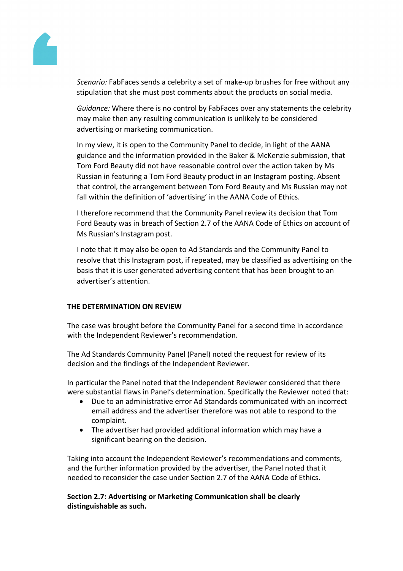

*Scenario:* FabFaces sends a celebrity a set of make-up brushes for free without any stipulation that she must post comments about the products on social media.

*Guidance:* Where there is no control by FabFaces over any statements the celebrity may make then any resulting communication is unlikely to be considered advertising or marketing communication.

In my view, it is open to the Community Panel to decide, in light of the AANA guidance and the information provided in the Baker & McKenzie submission, that Tom Ford Beauty did not have reasonable control over the action taken by Ms Russian in featuring a Tom Ford Beauty product in an Instagram posting. Absent that control, the arrangement between Tom Ford Beauty and Ms Russian may not fall within the definition of 'advertising' in the AANA Code of Ethics.

I therefore recommend that the Community Panel review its decision that Tom Ford Beauty was in breach of Section 2.7 of the AANA Code of Ethics on account of Ms Russian's Instagram post.

I note that it may also be open to Ad Standards and the Community Panel to resolve that this Instagram post, if repeated, may be classified as advertising on the basis that it is user generated advertising content that has been brought to an advertiser's attention.

# **THE DETERMINATION ON REVIEW**

The case was brought before the Community Panel for a second time in accordance with the Independent Reviewer's recommendation.

The Ad Standards Community Panel (Panel) noted the request for review of its decision and the findings of the Independent Reviewer.

In particular the Panel noted that the Independent Reviewer considered that there were substantial flaws in Panel's determination. Specifically the Reviewer noted that:

- Due to an administrative error Ad Standards communicated with an incorrect email address and the advertiser therefore was not able to respond to the complaint.
- The advertiser had provided additional information which may have a significant bearing on the decision.

Taking into account the Independent Reviewer's recommendations and comments, and the further information provided by the advertiser, the Panel noted that it needed to reconsider the case under Section 2.7 of the AANA Code of Ethics.

#### **Section 2.7: Advertising or Marketing Communication shall be clearly distinguishable as such.**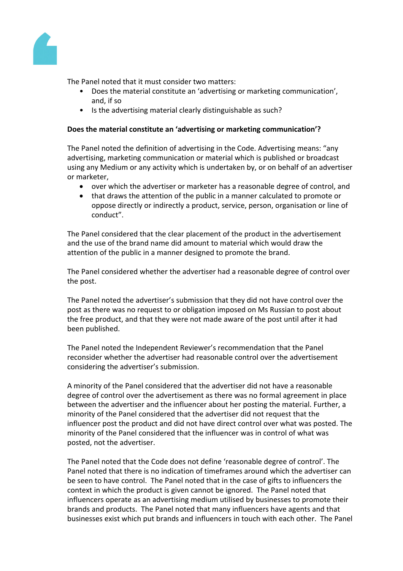

The Panel noted that it must consider two matters:

- Does the material constitute an 'advertising or marketing communication', and, if so
- Is the advertising material clearly distinguishable as such?

#### **Does the material constitute an 'advertising or marketing communication'?**

The Panel noted the definition of advertising in the Code. Advertising means: "any advertising, marketing communication or material which is published or broadcast using any Medium or any activity which is undertaken by, or on behalf of an advertiser or marketer,

- over which the advertiser or marketer has a reasonable degree of control, and
- that draws the attention of the public in a manner calculated to promote or oppose directly or indirectly a product, service, person, organisation or line of conduct".

The Panel considered that the clear placement of the product in the advertisement and the use of the brand name did amount to material which would draw the attention of the public in a manner designed to promote the brand.

The Panel considered whether the advertiser had a reasonable degree of control over the post.

The Panel noted the advertiser's submission that they did not have control over the post as there was no request to or obligation imposed on Ms Russian to post about the free product, and that they were not made aware of the post until after it had been published.

The Panel noted the Independent Reviewer's recommendation that the Panel reconsider whether the advertiser had reasonable control over the advertisement considering the advertiser's submission.

A minority of the Panel considered that the advertiser did not have a reasonable degree of control over the advertisement as there was no formal agreement in place between the advertiser and the influencer about her posting the material. Further, a minority of the Panel considered that the advertiser did not request that the influencer post the product and did not have direct control over what was posted. The minority of the Panel considered that the influencer was in control of what was posted, not the advertiser.

The Panel noted that the Code does not define 'reasonable degree of control'. The Panel noted that there is no indication of timeframes around which the advertiser can be seen to have control. The Panel noted that in the case of gifts to influencers the context in which the product is given cannot be ignored. The Panel noted that influencers operate as an advertising medium utilised by businesses to promote their brands and products. The Panel noted that many influencers have agents and that businesses exist which put brands and influencers in touch with each other. The Panel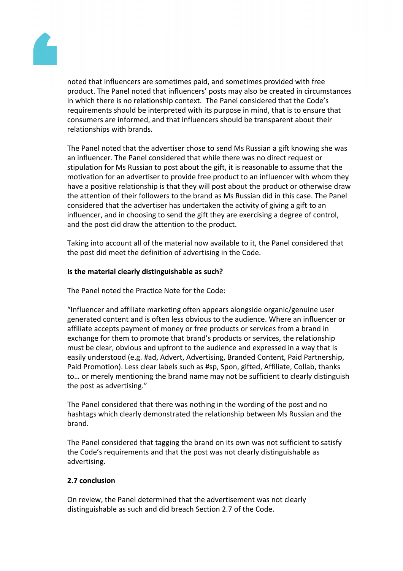

noted that influencers are sometimes paid, and sometimes provided with free product. The Panel noted that influencers' posts may also be created in circumstances in which there is no relationship context. The Panel considered that the Code's requirements should be interpreted with its purpose in mind, that is to ensure that consumers are informed, and that influencers should be transparent about their relationships with brands.

The Panel noted that the advertiser chose to send Ms Russian a gift knowing she was an influencer. The Panel considered that while there was no direct request or stipulation for Ms Russian to post about the gift, it is reasonable to assume that the motivation for an advertiser to provide free product to an influencer with whom they have a positive relationship is that they will post about the product or otherwise draw the attention of their followers to the brand as Ms Russian did in this case. The Panel considered that the advertiser has undertaken the activity of giving a gift to an influencer, and in choosing to send the gift they are exercising a degree of control, and the post did draw the attention to the product.

Taking into account all of the material now available to it, the Panel considered that the post did meet the definition of advertising in the Code.

#### **Is the material clearly distinguishable as such?**

The Panel noted the Practice Note for the Code:

"Influencer and affiliate marketing often appears alongside organic/genuine user generated content and is often less obvious to the audience. Where an influencer or affiliate accepts payment of money or free products or services from a brand in exchange for them to promote that brand's products or services, the relationship must be clear, obvious and upfront to the audience and expressed in a way that is easily understood (e.g. #ad, Advert, Advertising, Branded Content, Paid Partnership, Paid Promotion). Less clear labels such as #sp, Spon, gifted, Affiliate, Collab, thanks to… or merely mentioning the brand name may not be sufficient to clearly distinguish the post as advertising."

The Panel considered that there was nothing in the wording of the post and no hashtags which clearly demonstrated the relationship between Ms Russian and the brand.

The Panel considered that tagging the brand on its own was not sufficient to satisfy the Code's requirements and that the post was not clearly distinguishable as advertising.

#### **2.7 conclusion**

On review, the Panel determined that the advertisement was not clearly distinguishable as such and did breach Section 2.7 of the Code.